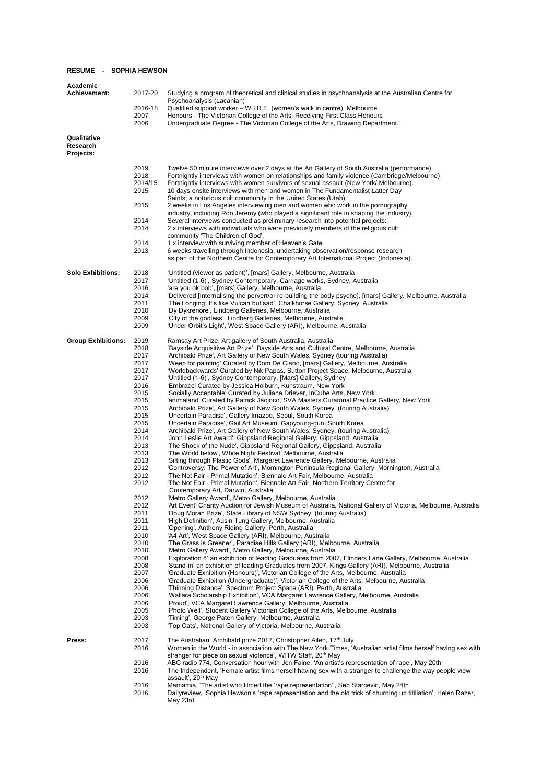## **RESUME - SOPHIA HEWSON**

| Academic<br><b>Achievement:</b>      | 2017-20                 | Studying a program of theoretical and clinical studies in psychoanalysis at the Australian Centre for<br>Psychoanalysis (Lacanian)                                                                                                                                                                                                        |
|--------------------------------------|-------------------------|-------------------------------------------------------------------------------------------------------------------------------------------------------------------------------------------------------------------------------------------------------------------------------------------------------------------------------------------|
|                                      | 2016-18<br>2007<br>2006 | Qualified support worker – W.I.R.E. (women's walk in centre), Melbourne<br>Honours - The Victorian College of the Arts, Receiving First Class Honours<br>Undergraduate Degree - The Victorian College of the Arts, Drawing Department.                                                                                                    |
|                                      |                         |                                                                                                                                                                                                                                                                                                                                           |
| Qualitative<br>Research<br>Projects: |                         |                                                                                                                                                                                                                                                                                                                                           |
|                                      | 2019                    | Twelve 50 minute interviews over 2 days at the Art Gallery of South Australia (performance)                                                                                                                                                                                                                                               |
|                                      | 2018<br>2014/15<br>2015 | Fortnightly interviews with women on relationships and family violence (Cambridge/Melbourne).<br>Fortnightly interviews with women survivors of sexual assault (New York/ Melbourne).<br>10 days onsite interviews with men and women in The Fundamentalist Latter Day<br>Saints; a notorious cult community in the United States (Utah). |
|                                      | 2015                    | 2 weeks in Los Angeles interviewing men and women who work in the pornography<br>industry, including Ron Jeremy (who played a significant role in shaping the industry).                                                                                                                                                                  |
|                                      | 2014<br>2014            | Several interviews conducted as preliminary research into potential projects:<br>2 x interviews with individuals who were previously members of the religious cult<br>community 'The Children of God'.                                                                                                                                    |
|                                      | 2014                    | 1 x interview with surviving member of Heaven's Gate.                                                                                                                                                                                                                                                                                     |
|                                      | 2013                    | 6 weeks travelling through Indonesia, undertaking observation/response research<br>as part of the Northern Centre for Contemporary Art International Project (Indonesia).                                                                                                                                                                 |
| <b>Solo Exhibitions:</b>             | 2018<br>2017            | 'Untitled (viewer as patient)', [mars] Gallery, Melbourne, Australia<br>'Untitled (1-6)', Sydney Contemporary, Carriage works, Sydney, Australia                                                                                                                                                                                          |
|                                      | 2016<br>2014            | 'are you ok bob', [mars] Gallery, Melbourne, Australia<br>'Delivered [Internalising the pervert/or re-building the body psyche], [mars] Gallery, Melbourne, Australia                                                                                                                                                                     |
|                                      | 2011                    | 'The Longing: It's like Vulcan but sad', Chalkhorse Gallery, Sydney, Australia                                                                                                                                                                                                                                                            |
|                                      | 2010                    | 'Dy Dykrenore', Lindberg Galleries, Melbourne, Australia                                                                                                                                                                                                                                                                                  |
|                                      | 2009<br>2009            | 'City of the godless', Lindberg Galleries, Melbourne, Australia<br>'Under Orbit's Light', West Space Gallery (ARI), Melbourne, Australia                                                                                                                                                                                                  |
| <b>Group Exhibitions:</b>            | 2019                    | Ramsay Art Prize, Art gallery of South Australia, Australia                                                                                                                                                                                                                                                                               |
|                                      | 2018                    | 'Bayside Acquisitive Art Prize', Bayside Arts and Cultural Centre, Melbourne, Australia                                                                                                                                                                                                                                                   |
|                                      | 2017                    | 'Archibald Prize', Art Gallery of New South Wales, Sydney (touring Australia)                                                                                                                                                                                                                                                             |
|                                      | 2017                    | 'Weep for painting' Curated by Dom De Clario, [mars] Gallery, Melbourne, Australia                                                                                                                                                                                                                                                        |
|                                      | 2017                    | 'Worldbackwards' Curated by Nik Papas, Sutton Project Space, Melbourne, Australia                                                                                                                                                                                                                                                         |
|                                      | 2017<br>2016            | 'Untitled (1-6)', Sydney Contemporary, [Mars] Gallery, Sydney<br>'Embrace' Curated by Jessica Holburn, Kunstraum, New York                                                                                                                                                                                                                |
|                                      | 2015                    | 'Socially Acceptable' Curated by Juliana Driever, InCube Arts, New York                                                                                                                                                                                                                                                                   |
|                                      | 2015                    | 'animaland' Curated by Patrick Jaojoco, SVA Masters Curatorial Practice Gallery, New York                                                                                                                                                                                                                                                 |
|                                      | 2015                    | 'Archibald Prize', Art Gallery of New South Wales, Sydney, (touring Australia)                                                                                                                                                                                                                                                            |
|                                      | 2015                    | 'Uncertain Paradise', Gallery Imazoo, Seoul, South Korea                                                                                                                                                                                                                                                                                  |
|                                      | 2015                    | 'Uncertain Paradise', Gail Art Museum, Gapyoung-gun, South Korea                                                                                                                                                                                                                                                                          |
|                                      | 2014<br>2014            | 'Archibald Prize', Art Gallery of New South Wales, Sydney, (touring Australia)<br>'John Leslie Art Award', Gippsland Regional Gallery, Gippsland, Australia                                                                                                                                                                               |
|                                      | 2013                    | 'The Shock of the Nude', Gippsland Regional Gallery, Gippsland, Australia                                                                                                                                                                                                                                                                 |
|                                      | 2013                    | 'The World below', White Night Festival, Melbourne, Australia                                                                                                                                                                                                                                                                             |
|                                      | 2013                    | 'Sifting through Plastic Gods', Margaret Lawrence Gallery, Melbourne, Australia                                                                                                                                                                                                                                                           |
|                                      | 2012                    | 'Controversy: The Power of Art', Mornington Peninsula Regional Gallery, Mornington, Australia                                                                                                                                                                                                                                             |
|                                      | 2012<br>2012            | 'The Not Fair - Primal Mutation', Biennale Art Fair, Melbourne, Australia<br>'The Not Fair - Primal Mutation', Biennale Art Fair, Northern Territory Centre for                                                                                                                                                                           |
|                                      | 2012                    | Contemporary Art, Darwin, Australia<br>'Metro Gallery Award', Metro Gallery, Melbourne, Australia                                                                                                                                                                                                                                         |
|                                      | 2012                    | 'Art Event' Charity Auction for Jewish Museum of Australia, National Gallery of Victoria, Melbourne, Australia                                                                                                                                                                                                                            |
|                                      | 2011                    | 'Doug Moran Prize', State Library of NSW Sydney, (touring Australia)                                                                                                                                                                                                                                                                      |
|                                      | 2011                    | 'High Definition', Ausin Tung Gallery, Melbourne, Australia                                                                                                                                                                                                                                                                               |
|                                      | 2011                    | 'Opening', Anthony Riding Gallery, Perth, Australia                                                                                                                                                                                                                                                                                       |
|                                      | 2010<br>2010            | 'A4 Art', West Space Gallery (ARI), Melbourne, Australia<br>'The Grass is Greener', Paradise Hills Gallery (ARI), Melbourne, Australia                                                                                                                                                                                                    |
|                                      | 2010                    | 'Metro Gallery Award', Metro Gallery, Melbourne, Australia                                                                                                                                                                                                                                                                                |
|                                      | 2008                    | 'Exploration 8' an exhibition of leading Graduates from 2007, Flinders Lane Gallery, Melbourne, Australia                                                                                                                                                                                                                                 |
|                                      | 2008                    | 'Stand-in' an exhibition of leading Graduates from 2007, Kings Gallery (ARI), Melbourne, Australia                                                                                                                                                                                                                                        |
|                                      | 2007                    | 'Graduate Exhibition (Honours)', Victorian College of the Arts, Melbourne, Australia                                                                                                                                                                                                                                                      |
|                                      | 2006<br>2006            | 'Graduate Exhibition (Undergraduate)', Victorian College of the Arts, Melbourne, Australia<br>'Thinning Distance', Spectrum Project Space (ARI), Perth, Australia                                                                                                                                                                         |
|                                      | 2006                    | 'Wallara Scholarship Exhibition', VCA Margaret Lawrence Gallery, Melbourne, Australia                                                                                                                                                                                                                                                     |
|                                      | 2006                    | 'Proud', VCA Margaret Lawrence Gallery, Melbourne, Australia                                                                                                                                                                                                                                                                              |
|                                      | 2005                    | 'Photo Well', Student Gallery Victorian College of the Arts, Melbourne, Australia                                                                                                                                                                                                                                                         |
|                                      | 2003<br>2003            | 'Timing', George Paten Gallery, Melbourne, Australia<br>'Top Cats', National Gallery of Victoria, Melbourne, Australia                                                                                                                                                                                                                    |
| Press:                               | 2017                    | The Australian, Archibald prize 2017, Christopher Allen, 17 <sup>th</sup> July                                                                                                                                                                                                                                                            |
|                                      | 2016                    | Women in the World - in association with The New York Times, 'Australian artist films herself having sex with                                                                                                                                                                                                                             |
|                                      |                         | stranger for piece on sexual violence', WITW Staff, 20 <sup>th</sup> May                                                                                                                                                                                                                                                                  |
|                                      | 2016                    | ABC radio 774, Conversation hour with Jon Faine, 'An artist's representation of rape', May 20th                                                                                                                                                                                                                                           |
|                                      | 2016                    | The Independent, 'Female artist films herself having sex with a stranger to challenge the way people view<br>assault', 20 <sup>th</sup> May                                                                                                                                                                                               |
|                                      | 2016                    | Mamamia, 'The artist who filmed the 'rape representation'', Seb Starcevic, May 24th                                                                                                                                                                                                                                                       |
|                                      | 2016                    | Dailyreview, 'Sophia Hewson's 'rape representation and the old trick of churning up titillation', Helen Razer,<br>May 23rd                                                                                                                                                                                                                |